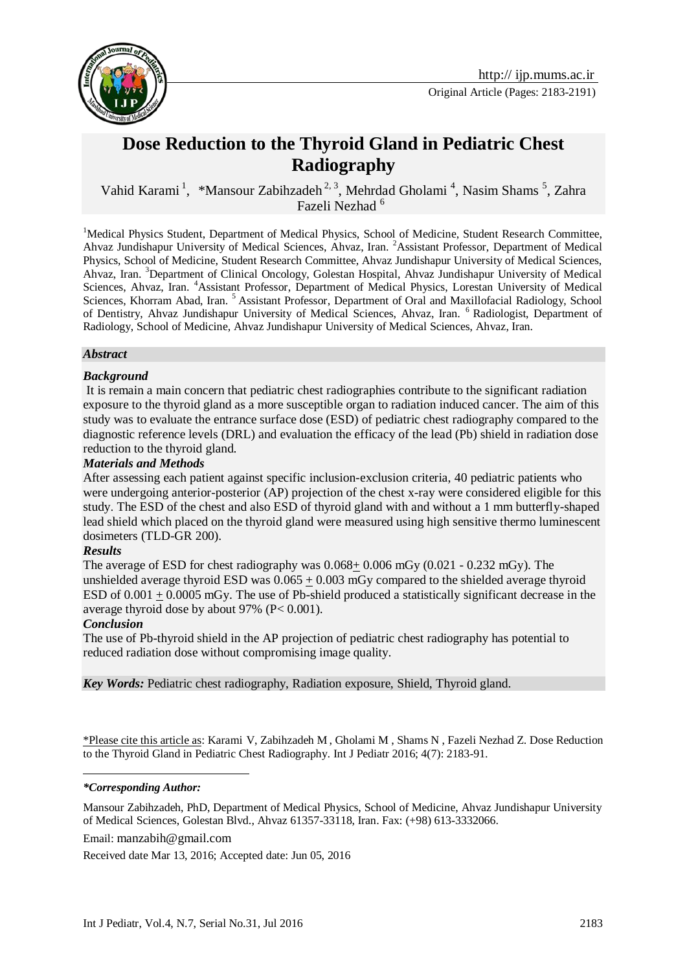

# **Dose Reduction to the Thyroid Gland in Pediatric Chest Radiography**

Vahid Karami<sup>1</sup>, \*Mansour Zabihzadeh<sup>2, 3</sup>, Mehrdad Gholami<sup>4</sup>, Nasim Shams<sup>5</sup>, Zahra Fazeli Nezhad<sup>6</sup>

<sup>1</sup>Medical Physics Student, Department of Medical Physics, School of Medicine, Student Research Committee, Ahvaz Jundishapur University of Medical Sciences, Ahvaz, Iran. <sup>2</sup>Assistant Professor, Department of Medical Physics, School of Medicine, Student Research Committee, Ahvaz Jundishapur University of Medical Sciences, Ahvaz, Iran. <sup>3</sup>Department of Clinical Oncology, Golestan Hospital, Ahvaz Jundishapur University of Medical Sciences, Ahvaz, Iran. <sup>4</sup>Assistant Professor, Department of Medical Physics, Lorestan University of Medical Sciences, Khorram Abad, Iran. <sup>5</sup> Assistant Professor, Department of Oral and Maxillofacial Radiology, School of Dentistry, Ahvaz Jundishapur University of Medical Sciences, Ahvaz, Iran. <sup>6</sup> Radiologist, Department of Radiology, School of Medicine, Ahvaz Jundishapur University of Medical Sciences, Ahvaz, Iran.

#### *Abstract*

#### *Background*

It is remain a main concern that pediatric chest radiographies contribute to the significant radiation exposure to the thyroid gland as a more susceptible organ to radiation induced cancer. The aim of this study was to evaluate the entrance surface dose (ESD) of pediatric chest radiography compared to the diagnostic reference levels (DRL) and evaluation the efficacy of the lead (Pb) shield in radiation dose reduction to the thyroid gland.

#### *Materials and Methods*

After assessing each patient against specific inclusion-exclusion criteria, 40 pediatric patients who were undergoing anterior-posterior (AP) projection of the chest x-ray were considered eligible for this study. The ESD of the chest and also ESD of thyroid gland with and without a 1 mm butterfly-shaped lead shield which placed on the thyroid gland were measured using high sensitive thermo luminescent dosimeters (TLD-GR 200).

#### *Results*

The average of ESD for chest radiography was  $0.068 + 0.006$  mGy  $(0.021 - 0.232$  mGy). The unshielded average thyroid ESD was  $0.065 \pm 0.003$  mGy compared to the shielded average thyroid ESD of 0.001 + 0.0005 mGy. The use of Pb-shield produced a statistically significant decrease in the average thyroid dose by about 97% (P< 0.001).

#### *Conclusion*

1

The use of Pb-thyroid shield in the AP projection of pediatric chest radiography has potential to reduced radiation dose without compromising image quality.

*Key Words:* Pediatric chest radiography, Radiation exposure, Shield, Thyroid gland.

\*Please cite this article as: Karami V, Zabihzadeh M , Gholami M , Shams N , Fazeli Nezhad Z. Dose Reduction to the Thyroid Gland in Pediatric Chest Radiography. Int J Pediatr 2016; 4(7): 2183-91.

*\*Corresponding Author:*

Mansour Zabihzadeh, PhD, Department of Medical Physics, School of Medicine, Ahvaz Jundishapur University of Medical Sciences, Golestan Blvd., Ahvaz 61357-33118, Iran. Fax: (+98) 613-3332066.

Email: [manzabih@gmail.com](mailto:manzabih@gmail.com)

Received date Mar 13, 2016; Accepted date: Jun 05, 2016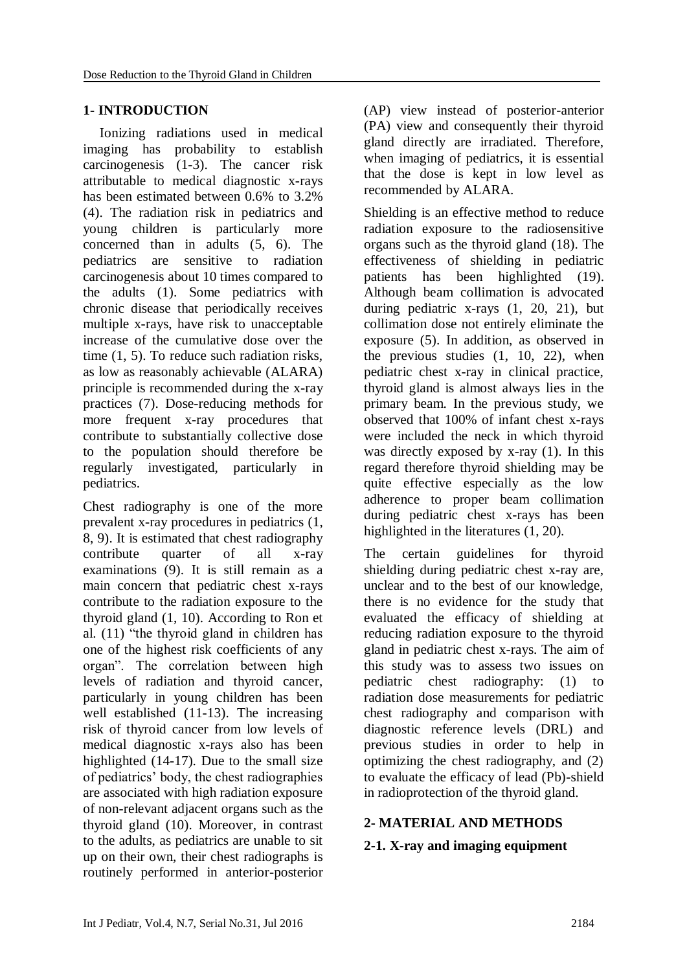# **1- INTRODUCTION**

Ionizing radiations used in medical imaging has probability to establish carcinogenesis [\(1-3\)](#page-6-0). The cancer risk attributable to medical diagnostic x-rays has been estimated between 0.6% to 3.2% [\(4\)](#page-6-1). The radiation risk in pediatrics and young children is particularly more concerned than in adults [\(5,](#page-6-2) [6\)](#page-6-3). The pediatrics are sensitive to radiation carcinogenesis about 10 times compared to the adults [\(1\)](#page-6-0). Some pediatrics with chronic disease that periodically receives multiple x-rays, have risk to unacceptable increase of the cumulative dose over the time [\(1,](#page-6-0) [5\)](#page-6-2). To reduce such radiation risks, as low as reasonably achievable (ALARA) principle is recommended during the x-ray practices [\(7\)](#page-6-4). Dose-reducing methods for more frequent x-ray procedures that contribute to substantially collective dose to the population should therefore be regularly investigated, particularly in pediatrics.

Chest radiography is one of the more prevalent x-ray procedures in pediatrics [\(1,](#page-6-0) [8,](#page-6-5) [9\)](#page-6-6). It is estimated that chest radiography contribute quarter of all x-ray examinations [\(9\)](#page-6-6). It is still remain as a main concern that pediatric chest x-rays contribute to the radiation exposure to the thyroid gland [\(1,](#page-6-0) [10\)](#page-6-7). According to Ron et al. [\(11\)](#page-6-8) "the thyroid gland in children has one of the highest risk coefficients of any organ". The correlation between high levels of radiation and thyroid cancer, particularly in young children has been well established [\(11-13\)](#page-6-8). The increasing risk of thyroid cancer from low levels of medical diagnostic x-rays also has been highlighted [\(14-17\)](#page-6-9). Due to the small size of pediatrics' body, the chest radiographies are associated with high radiation exposure of non-relevant adjacent organs such as the thyroid gland [\(10\)](#page-6-7). Moreover, in contrast to the adults, as pediatrics are unable to sit up on their own, their chest radiographs is routinely performed in anterior-posterior (AP) view instead of posterior-anterior (PA) view and consequently their thyroid gland directly are irradiated. Therefore, when imaging of pediatrics, it is essential that the dose is kept in low level as recommended by ALARA.

Shielding is an effective method to reduce radiation exposure to the radiosensitive organs such as the thyroid gland [\(18\)](#page-6-10). The effectiveness of shielding in pediatric patients has been highlighted [\(19\)](#page-6-11). Although beam collimation is advocated during pediatric x-rays [\(1,](#page-6-0) [20,](#page-6-12) [21\)](#page-7-0), but collimation dose not entirely eliminate the exposure [\(5\)](#page-6-2). In addition, as observed in the previous studies [\(1,](#page-6-0) [10,](#page-6-7) [22\)](#page-7-1), when pediatric chest x-ray in clinical practice, thyroid gland is almost always lies in the primary beam. In the previous study, we observed that 100% of infant chest x-rays were included the neck in which thyroid was directly exposed by x-ray [\(1\)](#page-6-0). In this regard therefore thyroid shielding may be quite effective especially as the low adherence to proper beam collimation during pediatric chest x-rays has been highlighted in the literatures [\(1,](#page-6-0) [20\)](#page-6-12).

The certain guidelines for thyroid shielding during pediatric chest x-ray are, unclear and to the best of our knowledge, there is no evidence for the study that evaluated the efficacy of shielding at reducing radiation exposure to the thyroid gland in pediatric chest x-rays. The aim of this study was to assess two issues on pediatric chest radiography: (1) to radiation dose measurements for pediatric chest radiography and comparison with diagnostic reference levels (DRL) and previous studies in order to help in optimizing the chest radiography, and (2) to evaluate the efficacy of lead (Pb)-shield in radioprotection of the thyroid gland.

# **2- MATERIAL AND METHODS**

# **2-1. X-ray and imaging equipment**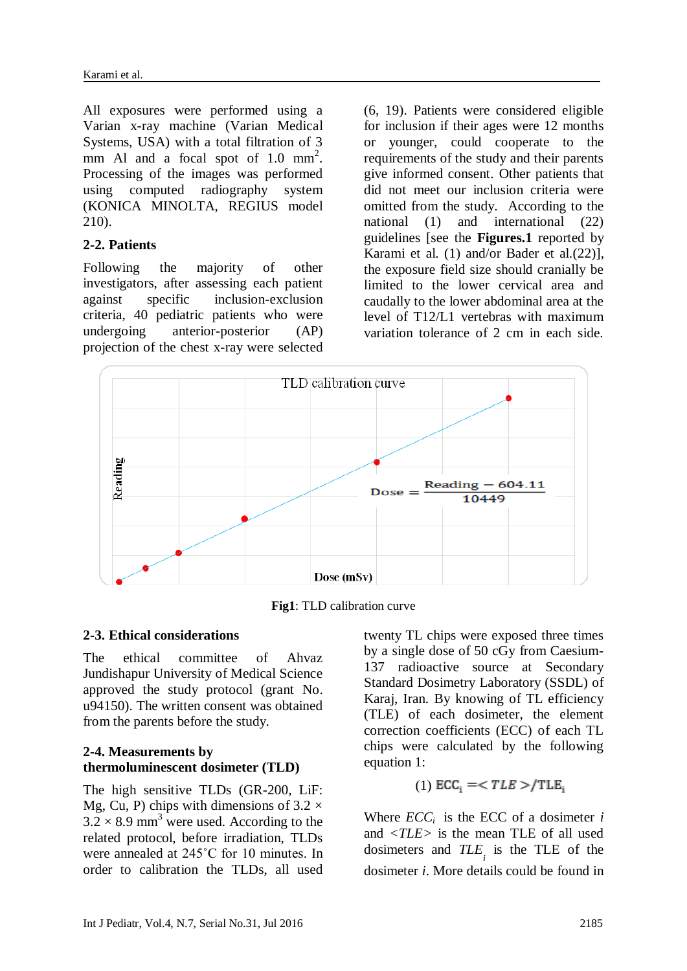All exposures were performed using a Varian x-ray machine (Varian Medical Systems, USA) with a total filtration of 3 mm Al and a focal spot of  $1.0 \text{ mm}^2$ . Processing of the images was performed using computed radiography system (KONICA MINOLTA, REGIUS model 210).

### **2-2. Patients**

Following the majority of other investigators, after assessing each patient against specific inclusion-exclusion criteria, 40 pediatric patients who were undergoing anterior-posterior (AP) projection of the chest x-ray were selected (6, [19\)](#page-6-11). Patients were considered eligible for inclusion if their ages were 12 months or younger, could cooperate to the requirements of the study and their parents give informed consent. Other patients that did not meet our inclusion criteria were omitted from the study. According to the national [\(1\)](#page-6-0) and international [\(22\)](#page-7-1) guidelines [see the **Figures.1** reported by Karami et al. [\(1\)](#page-6-0) and/or Bader et al.[\(22\)](#page-7-1)], the exposure field size should cranially be limited to the lower cervical area and caudally to the lower abdominal area at the level of T12/L1 vertebras with maximum variation tolerance of 2 cm in each side.



**Fig1**: TLD calibration curve

# **2-3. Ethical considerations**

The ethical committee of Ahvaz Jundishapur University of Medical Science approved the study protocol (grant No. u94150). The written consent was obtained from the parents before the study.

### **2-4. Measurements by thermoluminescent dosimeter (TLD)**

The high sensitive TLDs (GR-200, LiF: Mg, Cu, P) chips with dimensions of  $3.2 \times$  $3.2 \times 8.9$  mm<sup>3</sup> were used. According to the related protocol, before irradiation, TLDs were annealed at 245˚C for 10 minutes. In order to calibration the TLDs, all used

twenty TL chips were exposed three times by a single dose of 50 cGy from Caesium-137 radioactive source at Secondary Standard Dosimetry Laboratory (SSDL) of Karaj, Iran. By knowing of TL efficiency (TLE) of each dosimeter, the element correction coefficients (ECC) of each TL chips were calculated by the following equation 1:

(1) 
$$
ECC_i = \langle TLE \rangle / TLE_i
$$

Where  $\text{ECC}_i$  is the ECC of a dosimeter *i* and *<TLE>* is the mean TLE of all used dosimeters and *TLE i* is the TLE of the dosimeter *i*. More details could be found in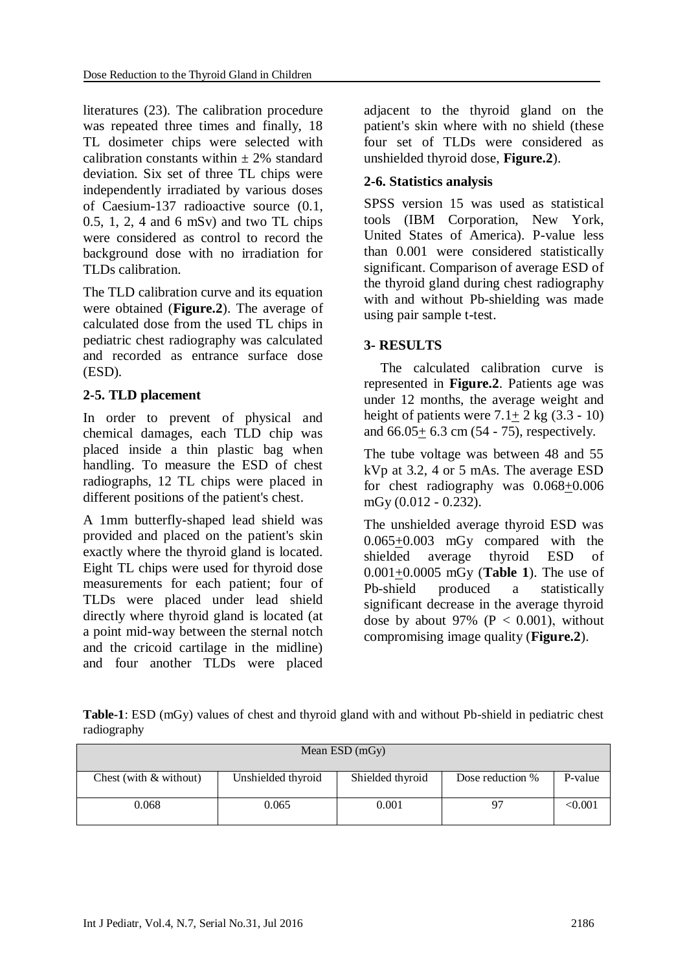literatures [\(23\)](#page-7-2). The calibration procedure was repeated three times and finally, 18 TL dosimeter chips were selected with calibration constants within  $\pm$  2% standard deviation. Six set of three TL chips were independently irradiated by various doses of Caesium-137 radioactive source (0.1, 0.5, 1, 2, 4 and 6 mSv) and two TL chips were considered as control to record the background dose with no irradiation for TLDs calibration.

The TLD calibration curve and its equation were obtained (**Figure.2**). The average of calculated dose from the used TL chips in pediatric chest radiography was calculated and recorded as entrance surface dose (ESD).

# **2-5. TLD placement**

In order to prevent of physical and chemical damages, each TLD chip was placed inside a thin plastic bag when handling. To measure the ESD of chest radiographs, 12 TL chips were placed in different positions of the patient's chest.

A 1mm butterfly-shaped lead shield was provided and placed on the patient's skin exactly where the thyroid gland is located. Eight TL chips were used for thyroid dose measurements for each patient; four of TLDs were placed under lead shield directly where thyroid gland is located (at a point mid-way between the sternal notch and the cricoid cartilage in the midline) and four another TLDs were placed adjacent to the thyroid gland on the patient's skin where with no shield (these four set of TLDs were considered as unshielded thyroid dose, **Figure.2**).

# **2-6. Statistics analysis**

SPSS version 15 was used as statistical tools (IBM Corporation, New York, United States of America). P-value less than 0.001 were considered statistically significant. Comparison of average ESD of the thyroid gland during chest radiography with and without Pb-shielding was made using pair sample t-test.

# **3- RESULTS**

The calculated calibration curve is represented in **Figure.2**. Patients age was under 12 months, the average weight and height of patients were  $7.1+2$  kg  $(3.3-10)$ and 66.05+ 6.3 cm (54 - 75), respectively.

The tube voltage was between 48 and 55 kVp at 3.2, 4 or 5 mAs. The average ESD for chest radiography was  $0.068 \pm 0.006$ mGy (0.012 - 0.232).

The unshielded average thyroid ESD was 0.065+0.003 mGy compared with the shielded average thyroid ESD of 0.001+0.0005 mGy (**Table 1**). The use of Pb-shield produced a statistically significant decrease in the average thyroid dose by about 97% ( $P < 0.001$ ), without compromising image quality (**Figure.2**).

**Table-1**: ESD (mGy) values of chest and thyroid gland with and without Pb-shield in pediatric chest radiography

| Mean $ESD$ (mGy)         |                    |                  |                  |         |  |  |  |  |  |
|--------------------------|--------------------|------------------|------------------|---------|--|--|--|--|--|
| Chest (with $&$ without) | Unshielded thyroid | Shielded thyroid | Dose reduction % | P-value |  |  |  |  |  |
| 0.068                    | 0.065              | 0.001            |                  | < 0.001 |  |  |  |  |  |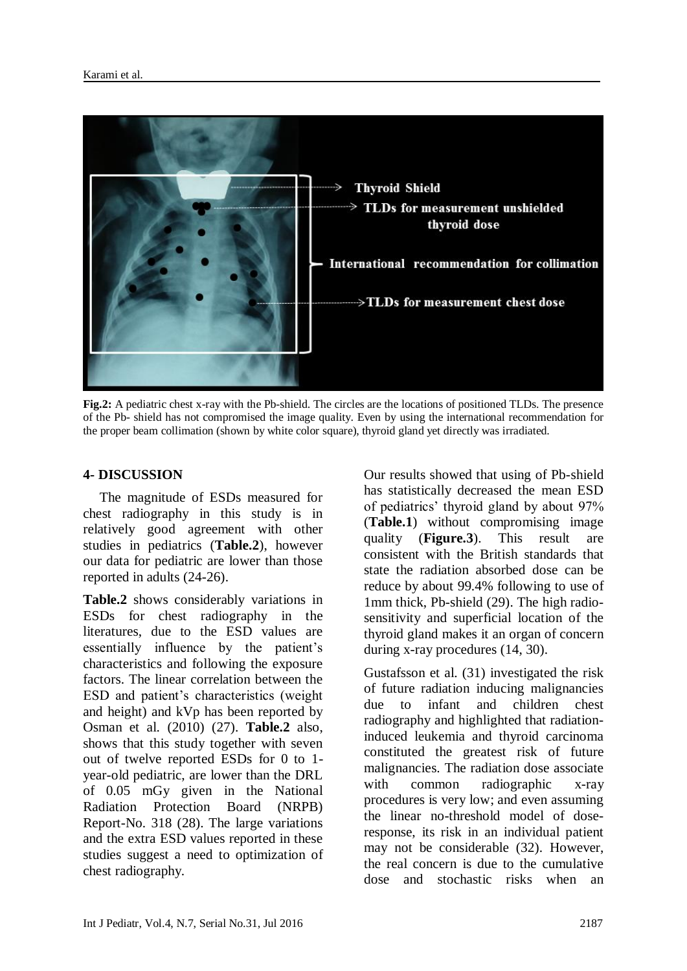

**Fig.2:** A pediatric chest x-ray with the Pb-shield. The circles are the locations of positioned TLDs. The presence of the Pb- shield has not compromised the image quality. Even by using the international recommendation for the proper beam collimation (shown by white color square), thyroid gland yet directly was irradiated.

# **4- DISCUSSION**

The magnitude of ESDs measured for chest radiography in this study is in relatively good agreement with other studies in pediatrics (**Table.2**), however our data for pediatric are lower than those reported in adults [\(24-26\)](#page-7-3).

**Table.2** shows considerably variations in ESDs for chest radiography in the literatures, due to the ESD values are essentially influence by the patient's characteristics and following the exposure factors. The linear correlation between the ESD and patient's characteristics (weight and height) and kVp has been reported by Osman et al. (2010) [\(27\)](#page-7-4). **Table.2** also, shows that this study together with seven out of twelve reported ESDs for 0 to 1 year-old pediatric, are lower than the DRL of 0.05 mGy given in the National Radiation Protection Board (NRPB) Report-No. 318 [\(28\)](#page-7-5). The large variations and the extra ESD values reported in these studies suggest a need to optimization of chest radiography.

Our results showed that using of Pb-shield has statistically decreased the mean ESD of pediatrics' thyroid gland by about 97% (**Table.1**) without compromising image quality (**Figure.3**). This result are consistent with the British standards that state the radiation absorbed dose can be reduce by about 99.4% following to use of 1mm thick, Pb-shield [\(29\)](#page-7-6). The high radiosensitivity and superficial location of the thyroid gland makes it an organ of concern during x-ray procedures [\(14,](#page-6-9) [30\)](#page-7-7).

Gustafsson et al. [\(31\)](#page-7-8) investigated the risk of future radiation inducing malignancies due to infant and children chest radiography and highlighted that radiationinduced leukemia and thyroid carcinoma constituted the greatest risk of future malignancies. The radiation dose associate with common radiographic x-ray procedures is very low; and even assuming the linear no-threshold model of doseresponse, its risk in an individual patient may not be considerable [\(32\)](#page-7-9). However, the real concern is due to the cumulative dose and stochastic risks when an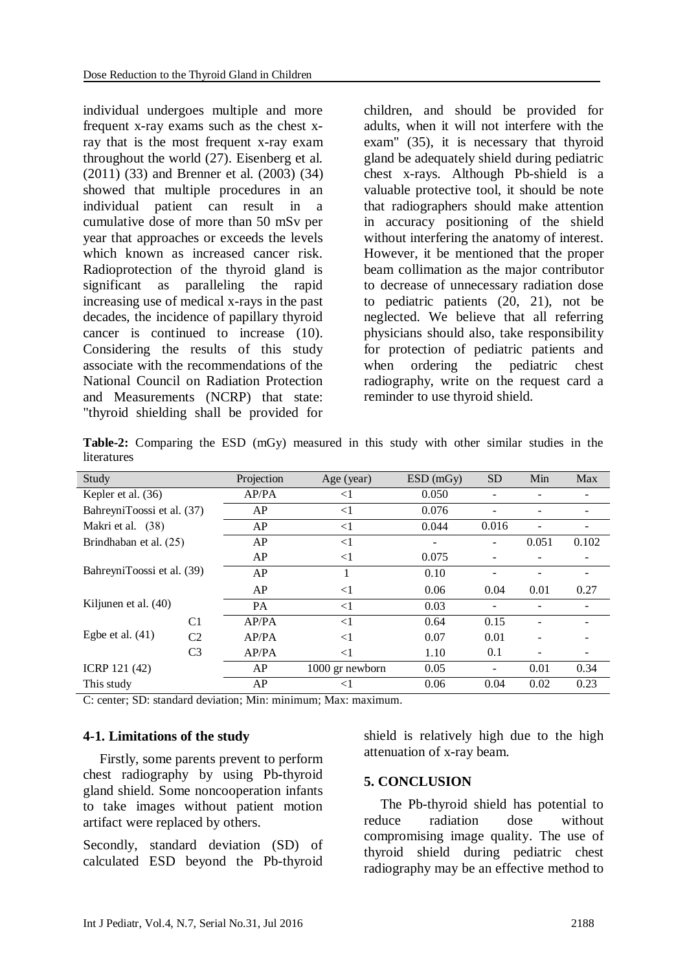individual undergoes multiple and more frequent x-ray exams such as the chest xray that is the most frequent x-ray exam throughout the world [\(27\)](#page-7-4). Eisenberg et al. (2011) [\(33\)](#page-7-10) and Brenner et al. (2003) [\(34\)](#page-7-11) showed that multiple procedures in an individual patient can result in a cumulative dose of more than 50 mSv per year that approaches or exceeds the levels which known as increased cancer risk. Radioprotection of the thyroid gland is significant as paralleling the rapid increasing use of medical x-rays in the past decades, the incidence of papillary thyroid cancer is continued to increase [\(10\)](#page-6-7). Considering the results of this study associate with the recommendations of the National Council on Radiation Protection and Measurements (NCRP) that state: "thyroid shielding shall be provided for

children, and should be provided for adults, when it will not interfere with the exam" [\(35\)](#page-7-12), it is necessary that thyroid gland be adequately shield during pediatric chest x-rays. Although Pb-shield is a valuable protective tool, it should be note that radiographers should make attention in accuracy positioning of the shield without interfering the anatomy of interest. However, it be mentioned that the proper beam collimation as the major contributor to decrease of unnecessary radiation dose to pediatric patients [\(20,](#page-6-12) [21\)](#page-7-0), not be neglected. We believe that all referring physicians should also, take responsibility for protection of pediatric patients and when ordering the pediatric chest radiography, write on the request card a reminder to use thyroid shield.

**Table-2:** Comparing the ESD (mGy) measured in this study with other similar studies in the literatures

| Study                      |                | Projection | Age (year)      | ESD(mGy) | <b>SD</b>         | Min   | Max   |
|----------------------------|----------------|------------|-----------------|----------|-------------------|-------|-------|
| Kepler et al. (36)         |                | AP/PA      | $<$ 1           | 0.050    |                   |       |       |
| BahreyniToossi et al. (37) |                | AP         | $\leq$ 1        | 0.076    |                   |       |       |
| Makri et al. (38)          |                | AP         | $<$ 1           | 0.044    | 0.016             |       |       |
| Brindhaban et al. (25)     |                | AP         | <1              | -        |                   | 0.051 | 0.102 |
| BahreyniToossi et al. (39) |                | AP         | $\leq$ 1        | 0.075    |                   |       |       |
|                            |                | AP         |                 | 0.10     |                   |       |       |
|                            |                | AP         | $<$ 1           | 0.06     | 0.04              | 0.01  | 0.27  |
| Kiljunen et al. (40)       |                | PA         | $\leq$ 1        | 0.03     |                   |       |       |
| Egbe et al. $(41)$         | C <sub>1</sub> | AP/PA      | $\leq$ 1        | 0.64     | 0.15              |       |       |
|                            | C <sub>2</sub> | AP/PA      | $<$ 1           | 0.07     | 0.01              |       |       |
|                            | C <sub>3</sub> | AP/PA      | $<$ 1           | 1.10     | 0.1               |       |       |
| ICRP 121 (42)              |                | AP         | 1000 gr newborn | 0.05     | $\qquad \qquad -$ | 0.01  | 0.34  |
| This study                 |                | AP         | ${<}1$          | 0.06     | 0.04              | 0.02  | 0.23  |

C: center; SD: standard deviation; Min: minimum; Max: maximum.

#### **4-1. Limitations of the study**

Firstly, some parents prevent to perform chest radiography by using Pb-thyroid gland shield. Some noncooperation infants to take images without patient motion artifact were replaced by others.

Secondly, standard deviation (SD) of calculated ESD beyond the Pb-thyroid shield is relatively high due to the high attenuation of x-ray beam.

#### **5. CONCLUSION**

The Pb-thyroid shield has potential to reduce radiation dose without compromising image quality. The use of thyroid shield during pediatric chest radiography may be an effective method to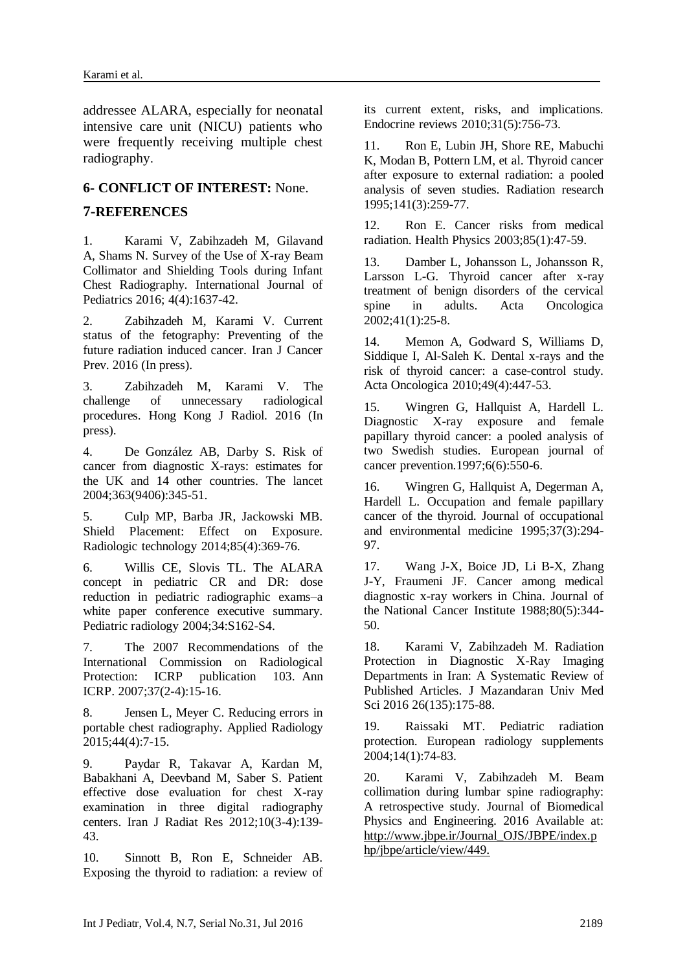addressee ALARA, especially for neonatal intensive care unit (NICU) patients who were frequently receiving multiple chest radiography.

#### **6- CONFLICT OF INTEREST:** None.

#### **7-REFERENCES**

<span id="page-6-0"></span>1. Karami V, Zabihzadeh M, Gilavand A, Shams N. Survey of the Use of X-ray Beam Collimator and Shielding Tools during Infant Chest Radiography. International Journal of Pediatrics 2016; 4(4):1637-42.

2. Zabihzadeh M, Karami V. Current status of the fetography: Preventing of the future radiation induced cancer. Iran J Cancer Prev. 2016 (In press).

3. Zabihzadeh M, Karami V. The challenge of unnecessary radiological procedures. Hong Kong J Radiol. 2016 (In press).

<span id="page-6-1"></span>4. De González AB, Darby S. Risk of cancer from diagnostic X-rays: estimates for the UK and 14 other countries. The lancet 2004;363(9406):345-51.

<span id="page-6-2"></span>5. Culp MP, Barba JR, Jackowski MB. Shield Placement: Effect on Exposure. Radiologic technology 2014;85(4):369-76.

<span id="page-6-3"></span>6. Willis CE, Slovis TL. The ALARA concept in pediatric CR and DR: dose reduction in pediatric radiographic exams–a white paper conference executive summary. Pediatric radiology 2004;34:S162-S4.

<span id="page-6-4"></span>7. The 2007 Recommendations of the International Commission on Radiological Protection: ICRP publication 103. Ann ICRP. 2007;37(2-4):15-16.

<span id="page-6-5"></span>8. Jensen L, Meyer C. Reducing errors in portable chest radiography. Applied Radiology 2015;44(4):7-15.

<span id="page-6-6"></span>9. Paydar R, Takavar A, Kardan M, Babakhani A, Deevband M, Saber S. Patient effective dose evaluation for chest X-ray examination in three digital radiography centers. Iran J Radiat Res 2012;10(3-4):139- 43.

<span id="page-6-7"></span>10. Sinnott B, Ron E, Schneider AB. Exposing the thyroid to radiation: a review of its current extent, risks, and implications. Endocrine reviews 2010;31(5):756-73.

<span id="page-6-8"></span>11. Ron E, Lubin JH, Shore RE, Mabuchi K, Modan B, Pottern LM, et al. Thyroid cancer after exposure to external radiation: a pooled analysis of seven studies. Radiation research 1995;141(3):259-77.

12. Ron E. Cancer risks from medical radiation. Health Physics 2003;85(1):47-59.

13. Damber L, Johansson L, Johansson R, Larsson L-G. Thyroid cancer after x-ray treatment of benign disorders of the cervical spine in adults. Acta Oncologica 2002;41(1):25-8.

<span id="page-6-9"></span>14. Memon A, Godward S, Williams D, Siddique I, Al-Saleh K. Dental x-rays and the risk of thyroid cancer: a case-control study. Acta Oncologica 2010;49(4):447-53.

15. Wingren G, Hallquist A, Hardell L. Diagnostic X-ray exposure and female papillary thyroid cancer: a pooled analysis of two Swedish studies. European journal of cancer prevention.1997;6(6):550-6.

16. Wingren G, Hallquist A, Degerman A, Hardell L. Occupation and female papillary cancer of the thyroid. Journal of occupational and environmental medicine 1995;37(3):294- 97.

17. Wang J-X, Boice JD, Li B-X, Zhang J-Y, Fraumeni JF. Cancer among medical diagnostic x-ray workers in China. Journal of the National Cancer Institute 1988;80(5):344- 50.

<span id="page-6-10"></span>18. Karami V, Zabihzadeh M. Radiation Protection in Diagnostic X-Ray Imaging Departments in Iran: A Systematic Review of Published Articles. J Mazandaran Univ Med Sci 2016 26(135):175-88.

<span id="page-6-11"></span>19. Raissaki MT. Pediatric radiation protection. European radiology supplements 2004;14(1):74-83.

<span id="page-6-12"></span>20. Karami V, Zabihzadeh M. Beam collimation during lumbar spine radiography: A retrospective study. Journal of Biomedical Physics and Engineering. 2016 Available at: http://www.jbpe.ir/Journal\_OJS/JBPE/index.p hp/jbpe/article/view/449.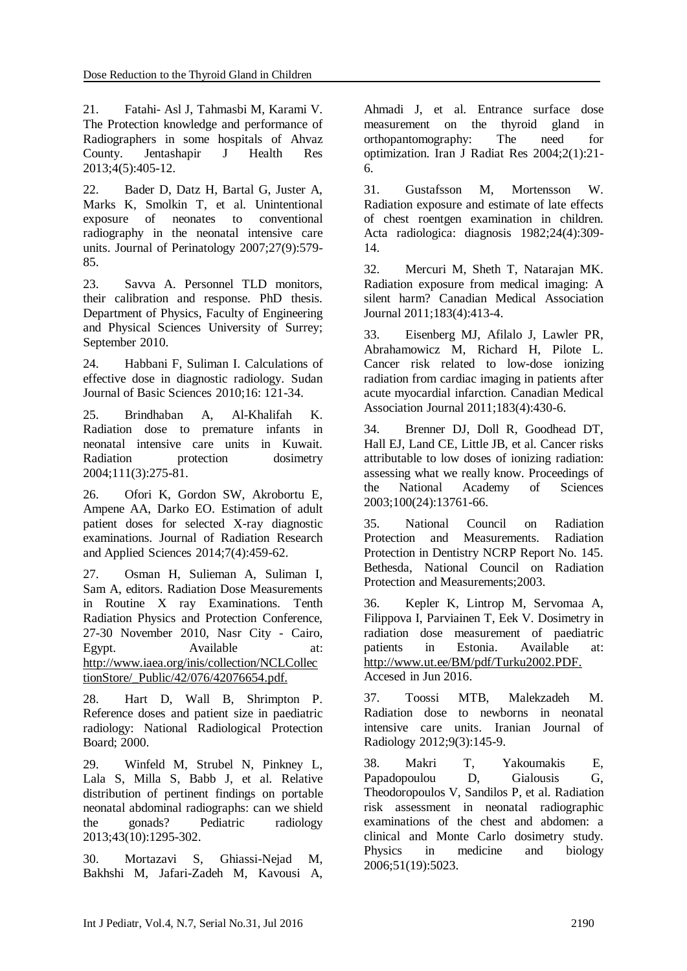<span id="page-7-0"></span>21. Fatahi- Asl J, Tahmasbi M, Karami V. The Protection knowledge and performance of Radiographers in some hospitals of Ahvaz County. Jentashapir J Health Res 2013;4(5):405-12.

<span id="page-7-1"></span>22. Bader D, Datz H, Bartal G, Juster A, Marks K, Smolkin T, et al. Unintentional exposure of neonates to conventional radiography in the neonatal intensive care units. Journal of Perinatology 2007;27(9):579- 85.

<span id="page-7-3"></span><span id="page-7-2"></span>23. Savva A. Personnel TLD monitors, their calibration and response. PhD thesis. Department of Physics, Faculty of Engineering and Physical Sciences University of Surrey; September 2010.

24. Habbani F, Suliman I. Calculations of effective dose in diagnostic radiology. Sudan Journal of Basic Sciences 2010;16: 121-34.

25. Brindhaban A, Al-Khalifah K. Radiation dose to premature infants in neonatal intensive care units in Kuwait. Radiation protection dosimetry 2004;111(3):275-81.

26. Ofori K, Gordon SW, Akrobortu E, Ampene AA, Darko EO. Estimation of adult patient doses for selected X-ray diagnostic examinations. Journal of Radiation Research and Applied Sciences 2014;7(4):459-62.

<span id="page-7-5"></span><span id="page-7-4"></span>27. Osman H, Sulieman A, Suliman I, Sam A, editors. Radiation Dose Measurements in Routine X ray Examinations. Tenth Radiation Physics and Protection Conference, 27-30 November 2010, Nasr City - Cairo, Egypt. Available at: http://www.iaea.org/inis/collection/NCLCollec tionStore/\_Public/42/076/42076654.pdf.

28. Hart D, Wall B, Shrimpton P. Reference doses and patient size in paediatric radiology: National Radiological Protection Board; 2000.

<span id="page-7-6"></span>29. Winfeld M, Strubel N, Pinkney L, Lala S, Milla S, Babb J, et al. Relative distribution of pertinent findings on portable neonatal abdominal radiographs: can we shield the gonads? Pediatric radiology 2013;43(10):1295-302.

<span id="page-7-7"></span>30. Mortazavi S, Ghiassi-Nejad M, Bakhshi M, Jafari-Zadeh M, Kavousi A, Ahmadi J, et al. Entrance surface dose measurement on the thyroid gland in orthopantomography: The need for optimization. Iran J Radiat Res 2004;2(1):21- 6.

<span id="page-7-8"></span>31. Gustafsson M, Mortensson W. Radiation exposure and estimate of late effects of chest roentgen examination in children. Acta radiologica: diagnosis 1982;24(4):309- 14.

<span id="page-7-9"></span>32. Mercuri M, Sheth T, Natarajan MK. Radiation exposure from medical imaging: A silent harm? Canadian Medical Association Journal 2011;183(4):413-4.

<span id="page-7-16"></span><span id="page-7-10"></span>33. Eisenberg MJ, Afilalo J, Lawler PR, Abrahamowicz M, Richard H, Pilote L. Cancer risk related to low-dose ionizing radiation from cardiac imaging in patients after acute myocardial infarction. Canadian Medical Association Journal 2011;183(4):430-6.

<span id="page-7-11"></span>34. Brenner DJ, Doll R, Goodhead DT, Hall EJ, Land CE, Little JB, et al. Cancer risks attributable to low doses of ionizing radiation: assessing what we really know. Proceedings of the National Academy of Sciences 2003;100(24):13761-66.

<span id="page-7-13"></span><span id="page-7-12"></span>35. National Council on Radiation Protection and Measurements. Radiation Protection in Dentistry NCRP Report No. 145. Bethesda, National Council on Radiation Protection and Measurements;2003.

36. Kepler K, Lintrop M, Servomaa A, Filippova I, Parviainen T, Eek V. Dosimetry in radiation dose measurement of paediatric patients in Estonia. Available at: http://www.ut.ee/BM/pdf/Turku2002.PDF. Accesed in Jun 2016.

<span id="page-7-14"></span>37. Toossi MTB, Malekzadeh M. Radiation dose to newborns in neonatal intensive care units. Iranian Journal of Radiology 2012;9(3):145-9.

<span id="page-7-15"></span>38. Makri T, Yakoumakis E, Papadopoulou D, Gialousis G, Theodoropoulos V, Sandilos P, et al. Radiation risk assessment in neonatal radiographic examinations of the chest and abdomen: a clinical and Monte Carlo dosimetry study. Physics in medicine and biology 2006;51(19):5023.